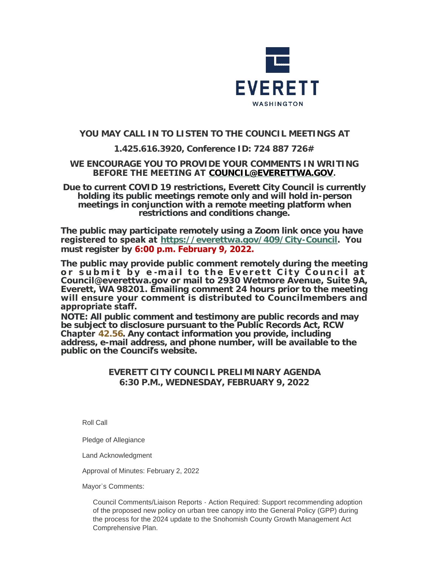

# **YOU MAY CALL IN TO LISTEN TO THE COUNCIL MEETINGS AT**

# **1.425.616.3920, Conference ID: 724 887 726#**

### **WE ENCOURAGE YOU TO PROVIDE YOUR COMMENTS IN WRITING BEFORE THE MEETING AT [COUNCIL@EVERETTWA.GOV](mailto:COUNCIL@EVERETTWA.GOV).**

**Due to current COVID 19 restrictions, Everett City Council is currently holding its public meetings remote only and will hold in-person meetings in conjunction with a remote meeting platform when restrictions and conditions change.**

**The public may participate remotely using a Zoom link once you have registered to speak at <https://everettwa.gov/409/City-Council>. You must register by 6:00 p.m. February 9, 2022.** 

**The public may provide public comment remotely during the meeting or submit by e -mail to the Everett City Council at Council@everettwa.gov or mail to 2930 Wetmore Avenue, Suite 9A, Everett, WA 98201. Emailing comment 24 hours prior to the meeting will ensure your comment is distributed to Councilmembers and appropriate staff.** 

*NOTE: All public comment and testimony are public records and may be subject to disclosure pursuant to the Public Records Act, RCW*  **Chapter** *[42.56](https://apps.leg.wa.gov/rcw/default.aspx?cite=42.56). Any contact information you provide, including address, e-mail address, and phone number, will be available to the public on the Council***'***s website.*

# **EVERETT CITY COUNCIL PRELIMINARY AGENDA 6:30 P.M., WEDNESDAY, FEBRUARY 9, 2022**

Roll Call

Pledge of Allegiance

Land Acknowledgment

Approval of Minutes: February 2, 2022

Mayor's Comments:

Council Comments/Liaison Reports - Action Required: Support recommending adoption of the proposed new policy on urban tree canopy into the General Policy (GPP) during the process for the 2024 update to the Snohomish County Growth Management Act Comprehensive Plan.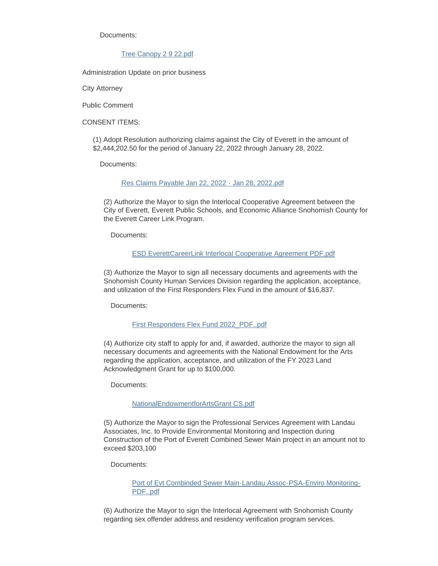Documents:

#### [Tree Canopy 2 9 22.pdf](https://www.everettwa.gov/AgendaCenter/ViewFile/Item/13373?fileID=79853)

Administration Update on prior business

City Attorney

Public Comment

CONSENT ITEMS:

(1) Adopt Resolution authorizing claims against the City of Everett in the amount of \$2,444,202.50 for the period of January 22, 2022 through January 28, 2022.

Documents:

#### [Res Claims Payable Jan 22, 2022 - Jan 28, 2022.pdf](https://www.everettwa.gov/AgendaCenter/ViewFile/Item/13359?fileID=79838)

(2) Authorize the Mayor to sign the Interlocal Cooperative Agreement between the City of Everett, Everett Public Schools, and Economic Alliance Snohomish County for the Everett Career Link Program.

Documents:

#### [ESD EverettCareerLink Interlocal Cooperative Agreement PDF.pdf](https://www.everettwa.gov/AgendaCenter/ViewFile/Item/13360?fileID=79839)

(3) Authorize the Mayor to sign all necessary documents and agreements with the Snohomish County Human Services Division regarding the application, acceptance, and utilization of the First Responders Flex Fund in the amount of \$16,837.

Documents:

#### [First Responders Flex Fund 2022\\_PDF..pdf](https://www.everettwa.gov/AgendaCenter/ViewFile/Item/13361?fileID=79840)

(4) Authorize city staff to apply for and, if awarded, authorize the mayor to sign all necessary documents and agreements with the National Endowment for the Arts regarding the application, acceptance, and utilization of the FY 2023 Land Acknowledgment Grant for up to \$100,000.

Documents:

#### [NationalEndowmentforArtsGrant CS.pdf](https://www.everettwa.gov/AgendaCenter/ViewFile/Item/13362?fileID=79841)

(5) Authorize the Mayor to sign the Professional Services Agreement with Landau Associates, Inc. to Provide Environmental Monitoring and Inspection during Construction of the Port of Everett Combined Sewer Main project in an amount not to exceed \$203,100

Documents:

[Port of Evt Combinded Sewer Main-Landau Assoc-PSA-Enviro Monitoring-](https://www.everettwa.gov/AgendaCenter/ViewFile/Item/13363?fileID=79842)PDF..pdf

(6) Authorize the Mayor to sign the Interlocal Agreement with Snohomish County regarding sex offender address and residency verification program services.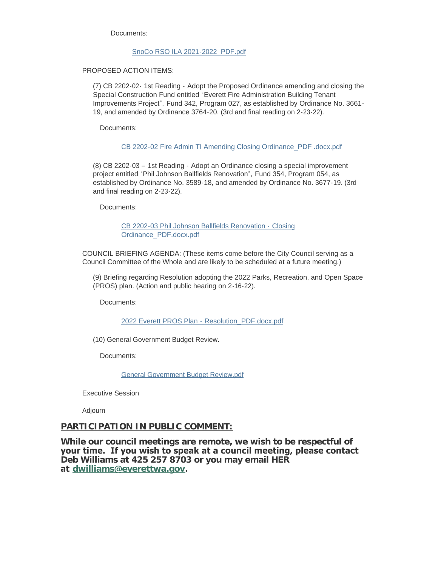Documents:

#### [SnoCo RSO ILA 2021-2022\\_PDF.pdf](https://www.everettwa.gov/AgendaCenter/ViewFile/Item/13382?fileID=79847)

PROPOSED ACTION ITEMS:

(7) CB 2202-02- 1st Reading - Adopt the Proposed Ordinance amending and closing the Special Construction Fund entitled "Everett Fire Administration Building Tenant Improvements Project", Fund 342, Program 027, as established by Ordinance No. 3661- 19, and amended by Ordinance 3764-20. (3rd and final reading on 2-23-22).

Documents:

[CB 2202-02 Fire Admin TI Amending Closing Ordinance\\_PDF .docx.pdf](https://www.everettwa.gov/AgendaCenter/ViewFile/Item/13364?fileID=79843)

(8) CB 2202-03 – 1st Reading - Adopt an Ordinance closing a special improvement project entitled "Phil Johnson Ballfields Renovation", Fund 354, Program 054, as established by Ordinance No. 3589-18, and amended by Ordinance No. 3677-19. (3rd and final reading on 2-23-22).

Documents:

[CB 2202-03 Phil Johnson Ballfields Renovation -](https://www.everettwa.gov/AgendaCenter/ViewFile/Item/13365?fileID=79844) Closing Ordinance\_PDF.docx.pdf

COUNCIL BRIEFING AGENDA: (These items come before the City Council serving as a Council Committee of the Whole and are likely to be scheduled at a future meeting.)

(9) Briefing regarding Resolution adopting the 2022 Parks, Recreation, and Open Space (PROS) plan. (Action and public hearing on 2-16-22).

Documents:

[2022 Everett PROS Plan -](https://www.everettwa.gov/AgendaCenter/ViewFile/Item/13367?fileID=79846) Resolution\_PDF.docx.pdf

(10) General Government Budget Review.

Documents:

[General Government Budget Review.pdf](https://www.everettwa.gov/AgendaCenter/ViewFile/Item/13366?fileID=79845)

Executive Session

Adjourn

### **PARTICIPATION IN PUBLIC COMMENT:**

**While our council meetings are remote, we wish to be respectful of your time. If you wish to speak at a council meeting, please contact Deb Williams at 425 257 8703 or you may email HER at [dwilliams@everettwa.gov](mailto:dwilliams@everettwa.gov).**